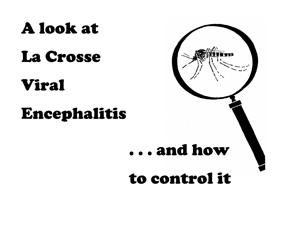